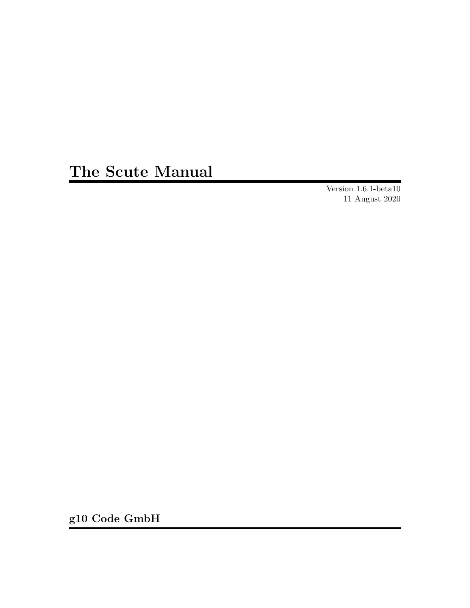# The Scute Manual

Version 1.6.1-beta10 11 August 2020

g10 Code GmbH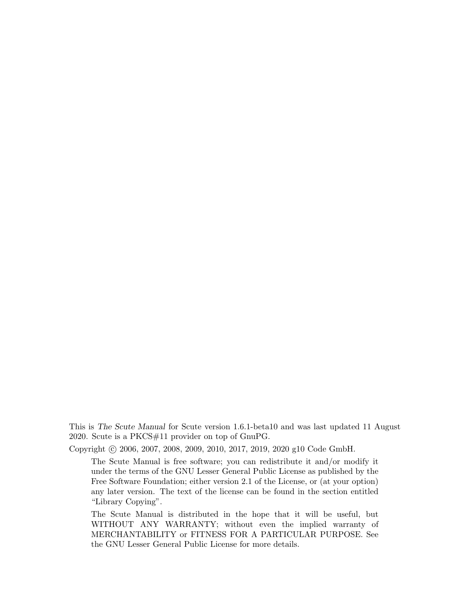This is The Scute Manual for Scute version 1.6.1-beta10 and was last updated 11 August 2020. Scute is a PKCS#11 provider on top of GnuPG.

Copyright © 2006, 2007, 2008, 2009, 2010, 2017, 2019, 2020 g10 Code GmbH.

The Scute Manual is free software; you can redistribute it and/or modify it under the terms of the GNU Lesser General Public License as published by the Free Software Foundation; either version 2.1 of the License, or (at your option) any later version. The text of the license can be found in the section entitled "Library Copying".

The Scute Manual is distributed in the hope that it will be useful, but WITHOUT ANY WARRANTY; without even the implied warranty of MERCHANTABILITY or FITNESS FOR A PARTICULAR PURPOSE. See the GNU Lesser General Public License for more details.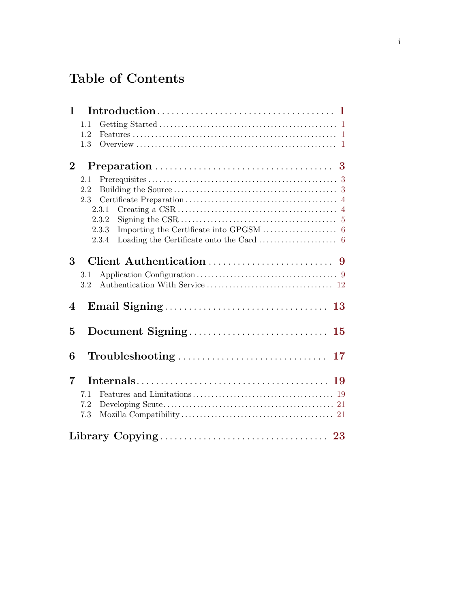## Table of Contents

| 1              | $Introduction \dots \dots \dots \dots \dots \dots \dots \dots \dots \dots \dots \dots \dots \dots \dots$                        |
|----------------|---------------------------------------------------------------------------------------------------------------------------------|
|                | 1.1                                                                                                                             |
|                | 1.2                                                                                                                             |
|                | 1.3                                                                                                                             |
| $\overline{2}$ | $\bf{3}$                                                                                                                        |
|                | 2.1                                                                                                                             |
|                | 2.2<br>3                                                                                                                        |
|                | 2.3<br>$\overline{4}$                                                                                                           |
|                | 2.3.1<br>Creating a CSR $\dots \dots \dots \dots \dots \dots \dots \dots \dots \dots \dots \dots \dots \dots$<br>$\overline{4}$ |
|                | 2.3.2<br>5                                                                                                                      |
|                | 2.3.3<br>-6                                                                                                                     |
|                | 2.3.4<br>-6                                                                                                                     |
| 3              | 3.1<br>3.2                                                                                                                      |
|                |                                                                                                                                 |
| 4              |                                                                                                                                 |
| 5              |                                                                                                                                 |
| 6              |                                                                                                                                 |
| 7              |                                                                                                                                 |
|                | 7.1                                                                                                                             |
|                | 7.2                                                                                                                             |
|                | 7.3                                                                                                                             |
|                |                                                                                                                                 |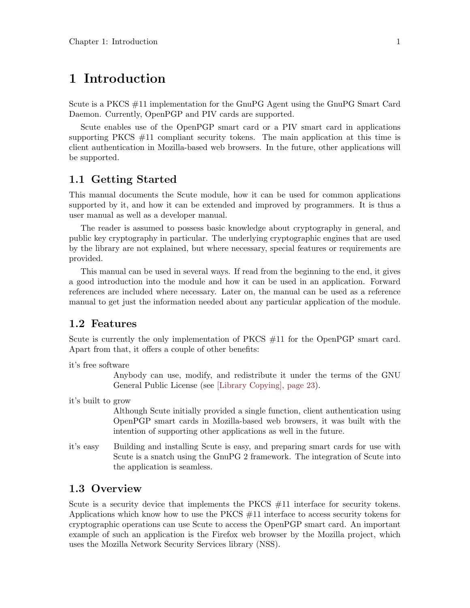## <span id="page-4-0"></span>1 Introduction

Scute is a PKCS #11 implementation for the GnuPG Agent using the GnuPG Smart Card Daemon. Currently, OpenPGP and PIV cards are supported.

Scute enables use of the OpenPGP smart card or a PIV smart card in applications supporting PKCS  $#11$  compliant security tokens. The main application at this time is client authentication in Mozilla-based web browsers. In the future, other applications will be supported.

## 1.1 Getting Started

This manual documents the Scute module, how it can be used for common applications supported by it, and how it can be extended and improved by programmers. It is thus a user manual as well as a developer manual.

The reader is assumed to possess basic knowledge about cryptography in general, and public key cryptography in particular. The underlying cryptographic engines that are used by the library are not explained, but where necessary, special features or requirements are provided.

This manual can be used in several ways. If read from the beginning to the end, it gives a good introduction into the module and how it can be used in an application. Forward references are included where necessary. Later on, the manual can be used as a reference manual to get just the information needed about any particular application of the module.

### 1.2 Features

Scute is currently the only implementation of PKCS #11 for the OpenPGP smart card. Apart from that, it offers a couple of other benefits:

it's free software

Anybody can use, modify, and redistribute it under the terms of the GNU General Public License (see [\[Library Copying\], page 23](#page-26-0)).

it's built to grow

Although Scute initially provided a single function, client authentication using OpenPGP smart cards in Mozilla-based web browsers, it was built with the intention of supporting other applications as well in the future.

it's easy Building and installing Scute is easy, and preparing smart cards for use with Scute is a snatch using the GnuPG 2 framework. The integration of Scute into the application is seamless.

### 1.3 Overview

Scute is a security device that implements the PKCS  $#11$  interface for security tokens. Applications which know how to use the PKCS #11 interface to access security tokens for cryptographic operations can use Scute to access the OpenPGP smart card. An important example of such an application is the Firefox web browser by the Mozilla project, which uses the Mozilla Network Security Services library (NSS).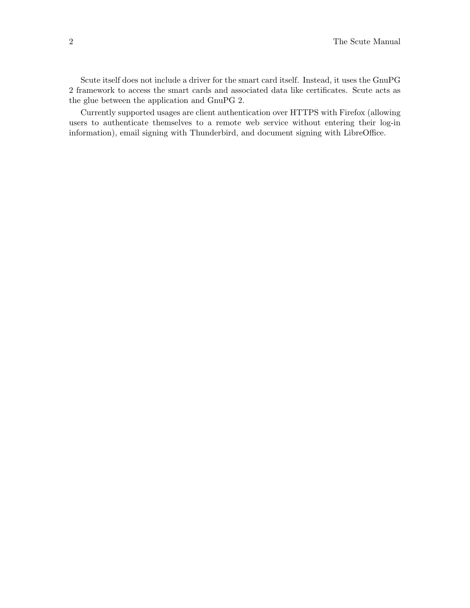Scute itself does not include a driver for the smart card itself. Instead, it uses the GnuPG 2 framework to access the smart cards and associated data like certificates. Scute acts as the glue between the application and GnuPG 2.

Currently supported usages are client authentication over HTTPS with Firefox (allowing users to authenticate themselves to a remote web service without entering their log-in information), email signing with Thunderbird, and document signing with LibreOffice.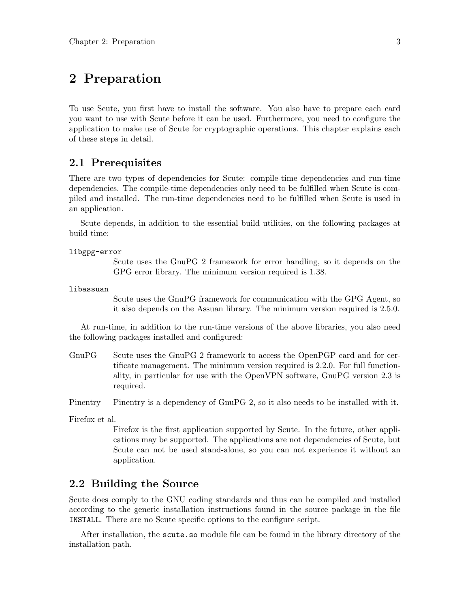## <span id="page-6-0"></span>2 Preparation

To use Scute, you first have to install the software. You also have to prepare each card you want to use with Scute before it can be used. Furthermore, you need to configure the application to make use of Scute for cryptographic operations. This chapter explains each of these steps in detail.

## <span id="page-6-1"></span>2.1 Prerequisites

There are two types of dependencies for Scute: compile-time dependencies and run-time dependencies. The compile-time dependencies only need to be fulfilled when Scute is compiled and installed. The run-time dependencies need to be fulfilled when Scute is used in an application.

Scute depends, in addition to the essential build utilities, on the following packages at build time:

#### libgpg-error

Scute uses the GnuPG 2 framework for error handling, so it depends on the GPG error library. The minimum version required is 1.38.

#### libassuan

Scute uses the GnuPG framework for communication with the GPG Agent, so it also depends on the Assuan library. The minimum version required is 2.5.0.

At run-time, in addition to the run-time versions of the above libraries, you also need the following packages installed and configured:

GnuPG Scute uses the GnuPG 2 framework to access the OpenPGP card and for certificate management. The minimum version required is 2.2.0. For full functionality, in particular for use with the OpenVPN software, GnuPG version 2.3 is required.

Pinentry Pinentry is a dependency of GnuPG 2, so it also needs to be installed with it.

Firefox et al.

Firefox is the first application supported by Scute. In the future, other applications may be supported. The applications are not dependencies of Scute, but Scute can not be used stand-alone, so you can not experience it without an application.

## 2.2 Building the Source

Scute does comply to the GNU coding standards and thus can be compiled and installed according to the generic installation instructions found in the source package in the file INSTALL. There are no Scute specific options to the configure script.

After installation, the scute.so module file can be found in the library directory of the installation path.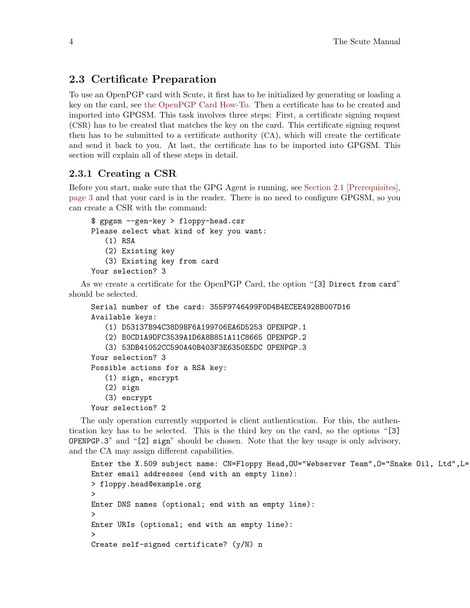## <span id="page-7-0"></span>2.3 Certificate Preparation

To use an OpenPGP card with Scute, it first has to be initialized by generating or loading a key on the card, see [the OpenPGP Card How-To.](http://www.gnupg.org/(en)/howtos/card-howto/en/smartcard-howto.html) Then a certificate has to be created and imported into GPGSM. This task involves three steps: First, a certificate signing request (CSR) has to be created that matches the key on the card. This certificate signing request then has to be submitted to a certificate authority (CA), which will create the certificate and send it back to you. At last, the certificate has to be imported into GPGSM. This section will explain all of these steps in detail.

## 2.3.1 Creating a CSR

Before you start, make sure that the GPG Agent is running, see [Section 2.1 \[Prerequisites\],](#page-6-1) [page 3](#page-6-1) and that your card is in the reader. There is no need to configure GPGSM, so you can create a CSR with the command:

```
$ gpgsm --gen-key > floppy-head.csr
Please select what kind of key you want:
   (1) RSA
   (2) Existing key
   (3) Existing key from card
Your selection? 3
```
As we create a certificate for the OpenPGP Card, the option "[3] Direct from card" should be selected.

```
Serial number of the card: 355F9746499F0D4B4ECEE4928B007D16
Available keys:
   (1) D53137B94C38D9BF6A199706EA6D5253 OPENPGP.1
   (2) B0CD1A9DFC3539A1D6A8B851A11C8665 OPENPGP.2
   (3) 53DB41052CC590A40B403F3E6350E5DC OPENPGP.3
Your selection? 3
Possible actions for a RSA key:
   (1) sign, encrypt
   (2) sign
   (3) encrypt
Your selection? 2
```
The only operation currently supported is client authentication. For this, the authentication key has to be selected. This is the third key on the card, so the options "[3] OPENPGP.3" and "[2] sign" should be chosen. Note that the key usage is only advisory, and the CA may assign different capabilities.

```
Enter the X.509 subject name: CN=Floppy Head, OU="Webserver Team", O="Snake Oil, Ltd", L=
Enter email addresses (end with an empty line):
> floppy.head@example.org
>
Enter DNS names (optional; end with an empty line):
>
Enter URIs (optional; end with an empty line):
>
Create self-signed certificate? (y/N) n
```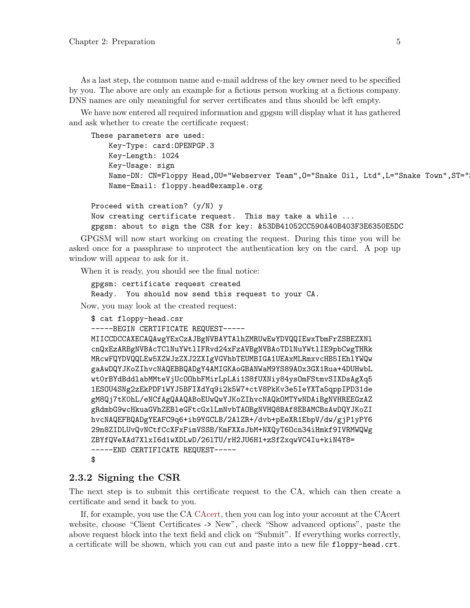<span id="page-8-0"></span>As a last step, the common name and e-mail address of the key owner need to be specified by you. The above are only an example for a fictious person working at a fictious company. DNS names are only meaningful for server certificates and thus should be left empty.

We have now entered all required information and gpgsm will display what it has gathered and ask whether to create the certificate request:

These parameters are used:

```
Key-Type: card:OPENPGP.3
Key-Length: 1024
Key-Usage: sign
Name-DN: CN=Floppy Head, OU="Webserver Team", 0="Snake Oil, Ltd", L="Snake Town", ST="
Name-Email: floppy.head@example.org
```

```
Proceed with creation? (y/N) y
Now creating certificate request. This may take a while ...
gpgsm: about to sign the CSR for key: &53DB41052CC590A40B403F3E6350E5DC
```
GPGSM will now start working on creating the request. During this time you will be asked once for a passphrase to unprotect the authentication key on the card. A pop up window will appear to ask for it.

When it is ready, you should see the final notice:

```
gpgsm: certificate request created
Ready. You should now send this request to your CA.
```
Now, you may look at the created request:

```
$ cat floppy-head.csr
```

```
-----BEGIN CERTIFICATE REQUEST-----
```

```
MIICCDCCAXECAQAwgYExCzAJBgNVBAYTAlhZMRUwEwYDVQQIEwxTbmFrZSBEZXNl
cnQxEzARBgNVBAcTClNuYWtlIFRvd24xFzAVBgNVBAoTDlNuYWtlIE9pbCwgTHRk
MRcwFQYDVQQLEw5XZWJzZXJ2ZXIgVGVhbTEUMBIGA1UEAxMLRmxvcHB5IEhlYWQw
gaAwDQYJKoZIhvcNAQEBBQADgY4AMIGKAoGBANWaM9YS89AOx3GX1Rua+4DUHwbL
wt0rBYdBddlabMMteVjUcOOhbFMirLpLAi1S8fUXNiy84ysOmFStmvSIXDsAgXq5
1ESOU4SNg2zEkPDF1WYJ5BFIXdYq9i2k5W7+ctV8PkKv3e5IeYXTa5qppIPD31de
gM8Qj7tK0hL/eNCfAgQAAQABoEUwQwYJKoZIhvcNAQkOMTYwNDAiBgNVHREEGzAZ
gRdmbG9wcHkuaGVhZEBleGFtcGxlLmNvbTAOBgNVHQ8BAf8EBAMCBsAwDQYJKoZI
hvcNAQEFBQADgYEAFC9q6+ib9YGCLB/2AlZR+/dvb+pEeXR1EbpV/dw/gjP1yPY6
29n8ZIDLUvQvNCtfCcXFxFimVSSB/KmFXXsJbM+NXQyT6Ocn34iHmkf9IVRMWQWg
ZBYfQVeXAd7XlxI6d1wXDLwD/26lTU/rH2JU6H1+zSfZxqwVC4Iu+kiN4Y8=
-----END CERTIFICATE REQUEST-----
```
#### \$

### 2.3.2 Signing the CSR

The next step is to submit this certificate request to the CA, which can then create a certificate and send it back to you.

If, for example, you use the CA [CAcert,](http://www.cacert.org) then you can log into your account at the CAcert website, choose "Client Certificates -> New", check "Show advanced options", paste the above request block into the text field and click on "Submit". If everything works correctly, a certificate will be shown, which you can cut and paste into a new file floppy-head.crt.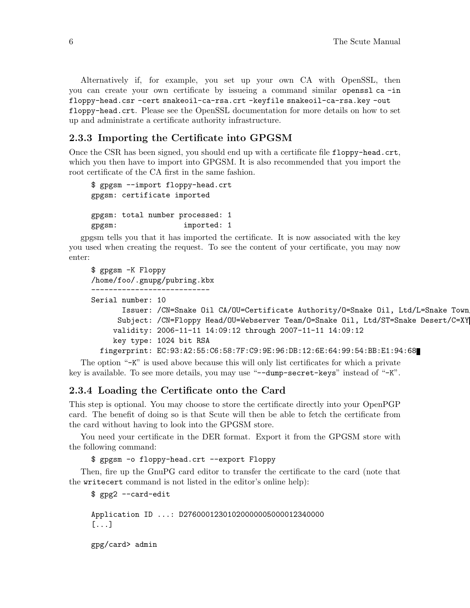<span id="page-9-0"></span>Alternatively if, for example, you set up your own CA with OpenSSL, then you can create your own certificate by issueing a command similar openssl ca -in floppy-head.csr -cert snakeoil-ca-rsa.crt -keyfile snakeoil-ca-rsa.key -out floppy-head.crt. Please see the OpenSSL documentation for more details on how to set up and administrate a certificate authority infrastructure.

### 2.3.3 Importing the Certificate into GPGSM

Once the CSR has been signed, you should end up with a certificate file floppy-head.crt, which you then have to import into GPGSM. It is also recommended that you import the root certificate of the CA first in the same fashion.

```
$ gpgsm --import floppy-head.crt
gpgsm: certificate imported
gpgsm: total number processed: 1
gpgsm: imported: 1
```
gpgsm tells you that it has imported the certificate. It is now associated with the key you used when creating the request. To see the content of your certificate, you may now enter:

```
$ gpgsm -K Floppy
/home/foo/.gnupg/pubring.kbx
---------------------------
Serial number: 10
       Issuer: /CN=Snake Oil CA/OU=Certificate Authority/O=Snake Oil, Ltd/L=Snake Town
     Subject: /CN=Floppy Head/OU=Webserver Team/O=Snake Oil, Ltd/ST=Snake Desert/C=XY
     validity: 2006-11-11 14:09:12 through 2007-11-11 14:09:12
     key type: 1024 bit RSA
 fingerprint: EC:93:A2:55:C6:58:7F:C9:9E:96:DB:12:6E:64:99:54:BB:E1:94:68
```
The option "-K" is used above because this will only list certificates for which a private key is available. To see more details, you may use "--dump-secret-keys" instead of "-K".

#### 2.3.4 Loading the Certificate onto the Card

This step is optional. You may choose to store the certificate directly into your OpenPGP card. The benefit of doing so is that Scute will then be able to fetch the certificate from the card without having to look into the GPGSM store.

You need your certificate in the DER format. Export it from the GPGSM store with the following command:

\$ gpgsm -o floppy-head.crt --export Floppy

Then, fire up the GnuPG card editor to transfer the certificate to the card (note that the writecert command is not listed in the editor's online help):

\$ gpg2 --card-edit Application ID ...: D27600012301020000005000012340000

[...]

gpg/card> admin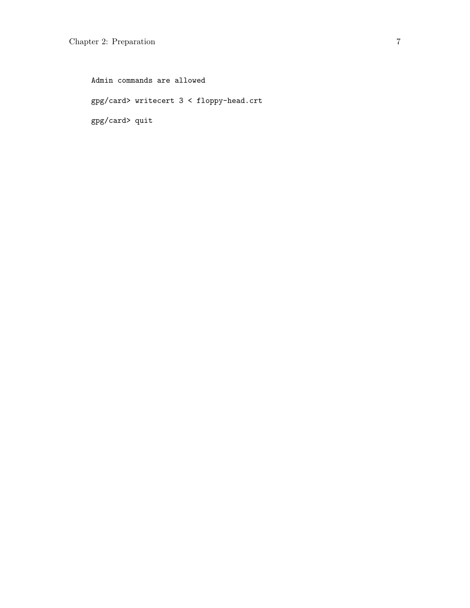Admin commands are allowed gpg/card> writecert 3 < floppy-head.crt gpg/card> quit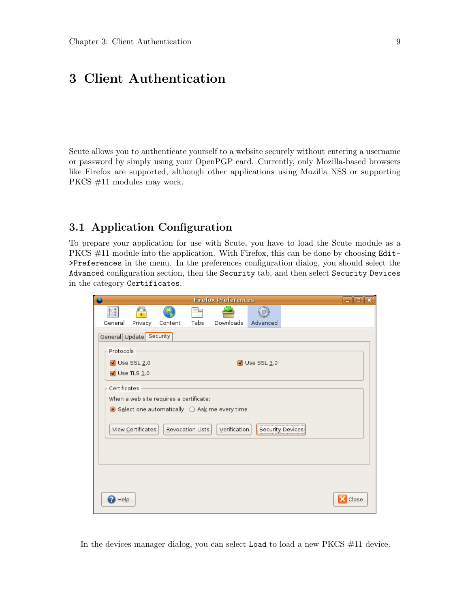## <span id="page-12-0"></span>3 Client Authentication

Scute allows you to authenticate yourself to a website securely without entering a username or password by simply using your OpenPGP card. Currently, only Mozilla-based browsers like Firefox are supported, although other applications using Mozilla NSS or supporting PKCS #11 modules may work.

## 3.1 Application Configuration

To prepare your application for use with Scute, you have to load the Scute module as a PKCS #11 module into the application. With Firefox, this can be done by choosing Edit->Preferences in the menu. In the preferences configuration dialog, you should select the Advanced configuration section, then the Security tab, and then select Security Devices in the category Certificates.

| $\bullet$               |                            |                                         |                  | <b>Firefox Preferences</b>                                   |                       |                  | $ \boxed{0}$ x |  |  |
|-------------------------|----------------------------|-----------------------------------------|------------------|--------------------------------------------------------------|-----------------------|------------------|----------------|--|--|
| 中国                      |                            |                                         |                  |                                                              |                       |                  |                |  |  |
| General                 | Privacy                    | Content                                 | Tabs             | Downloads                                                    | Advanced              |                  |                |  |  |
| General Update Security |                            |                                         |                  |                                                              |                       |                  |                |  |  |
| Protocols               |                            |                                         |                  |                                                              |                       |                  |                |  |  |
|                         | $\blacksquare$ Use SSL 2.0 |                                         |                  |                                                              | $\sqrt{}$ Use SSL 3.0 |                  |                |  |  |
|                         | $\sqrt{ }$ Use TLS 1.0     |                                         |                  |                                                              |                       |                  |                |  |  |
| Certificates            |                            |                                         |                  |                                                              |                       |                  |                |  |  |
|                         |                            | When a web site requires a certificate: |                  |                                                              |                       |                  |                |  |  |
|                         |                            |                                         |                  | $\bullet$ Select one automatically $\circ$ Ask me every time |                       |                  |                |  |  |
|                         | View Certificates          |                                         | Revocation Lists | Verification                                                 |                       |                  |                |  |  |
|                         |                            |                                         |                  |                                                              |                       | Security Devices |                |  |  |
|                         |                            |                                         |                  |                                                              |                       |                  |                |  |  |
|                         |                            |                                         |                  |                                                              |                       |                  |                |  |  |
|                         |                            |                                         |                  |                                                              |                       |                  |                |  |  |
|                         |                            |                                         |                  |                                                              |                       |                  |                |  |  |
| Close<br>Help           |                            |                                         |                  |                                                              |                       |                  |                |  |  |

In the devices manager dialog, you can select Load to load a new PKCS #11 device.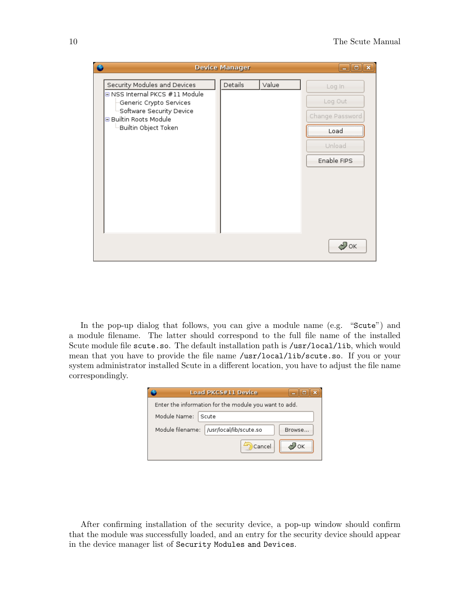|                                                                                                                                                                                        | <b>Device Manager</b> |       | o                                            |
|----------------------------------------------------------------------------------------------------------------------------------------------------------------------------------------|-----------------------|-------|----------------------------------------------|
| Security Modules and Devices<br><b>E NSS Internal PKCS #11 Module</b><br>Generic Crypto Services<br>Software Security Device. "<br><b>Builtin Roots Module</b><br>Builtin Object Token | Details               | Value | Log In<br>Log Out<br>Change Password<br>Load |
|                                                                                                                                                                                        |                       |       | Unload<br>Enable FIPS                        |
|                                                                                                                                                                                        |                       |       | Уок                                          |

In the pop-up dialog that follows, you can give a module name (e.g. "Scute") and a module filename. The latter should correspond to the full file name of the installed Scute module file scute.so. The default installation path is /usr/local/lib, which would mean that you have to provide the file name /usr/local/lib/scute.so. If you or your system administrator installed Scute in a different location, you have to adjust the file name correspondingly.

|              | <b>Load PKCS#11 Device</b>                            | -18       |
|--------------|-------------------------------------------------------|-----------|
|              | Enter the information for the module you want to add. |           |
| Module Name: | Scute                                                 |           |
|              | Module filename:   /usr/local/lib/scute.so            | Browse    |
|              | Cancel                                                | <b>OK</b> |

After confirming installation of the security device, a pop-up window should confirm that the module was successfully loaded, and an entry for the security device should appear in the device manager list of Security Modules and Devices.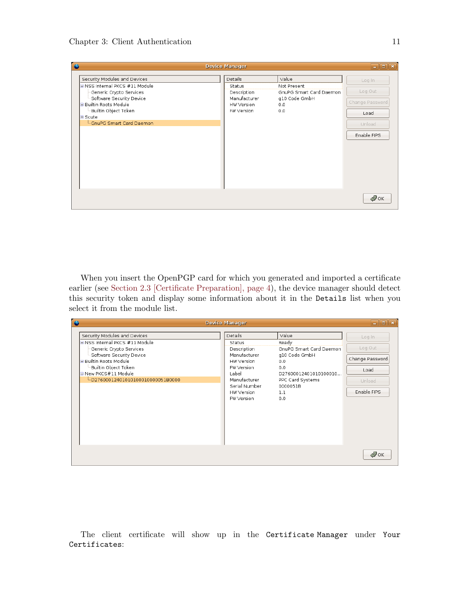When you insert the OpenPGP card for which you generated and imported a certificate earlier (see [Section 2.3 \[Certificate Preparation\], page 4\)](#page-7-0), the device manager should detect this security token and display some information about it in the Details list when you select it from the module list.

The client certificate will show up in the Certificate Manager under Your Certificates: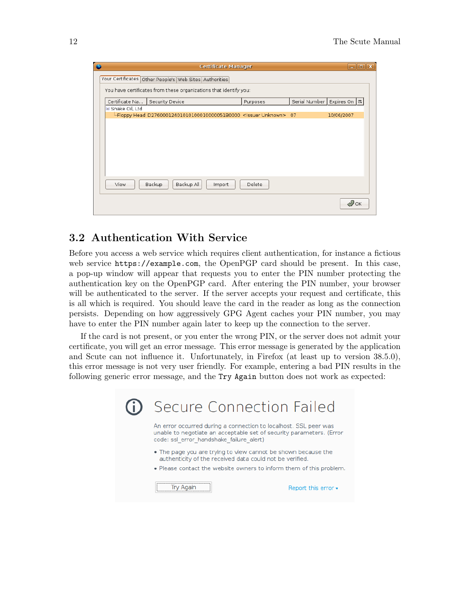<span id="page-15-0"></span>

|                |                                                                              | <b>Certificate Manager</b> |          |               |                      | $=$ $\blacksquare$ $\times$ |
|----------------|------------------------------------------------------------------------------|----------------------------|----------|---------------|----------------------|-----------------------------|
|                | Your Certificates Other People's Web Sites Authorities                       |                            |          |               |                      |                             |
|                | You have certificates from these organizations that identify you:            |                            |          |               |                      |                             |
| Certificate Na | Security Device                                                              |                            | Purposes | Serial Number | Expires On   民       |                             |
| Snake Oil, Ltd |                                                                              |                            |          |               |                      |                             |
|                | Eloppy Head D27600012401010100010000051B0000 <issuer unknown=""> 07</issuer> |                            |          |               | 10/06/2007           |                             |
|                |                                                                              |                            |          |               |                      |                             |
| View           | Backup All<br>Backup                                                         | Import                     | Delete   |               |                      |                             |
|                |                                                                              |                            |          |               | $\leftrightarrow$ ok |                             |

## <span id="page-15-1"></span>3.2 Authentication With Service

Before you access a web service which requires client authentication, for instance a fictious web service https://example.com, the OpenPGP card should be present. In this case, a pop-up window will appear that requests you to enter the PIN number protecting the authentication key on the OpenPGP card. After entering the PIN number, your browser will be authenticated to the server. If the server accepts your request and certificate, this is all which is required. You should leave the card in the reader as long as the connection persists. Depending on how aggressively GPG Agent caches your PIN number, you may have to enter the PIN number again later to keep up the connection to the server.

If the card is not present, or you enter the wrong PIN, or the server does not admit your certificate, you will get an error message. This error message is generated by the application and Scute can not influence it. Unfortunately, in Firefox (at least up to version 38.5.0), this error message is not very user friendly. For example, entering a bad PIN results in the following generic error message, and the Try Again button does not work as expected:

| Secure Connection Failed                                                                                                                                                                         |  |  |  |  |  |
|--------------------------------------------------------------------------------------------------------------------------------------------------------------------------------------------------|--|--|--|--|--|
| An error occurred during a connection to localhost. SSL peer was<br>unable to negotiate an acceptable set of security parameters. (Error<br>code: ssl error handshake failure alert)             |  |  |  |  |  |
| • The page you are trying to view cannot be shown because the<br>authenticity of the received data could not be verified.<br>. Please contact the website owners to inform them of this problem. |  |  |  |  |  |
| Report this error $\star$                                                                                                                                                                        |  |  |  |  |  |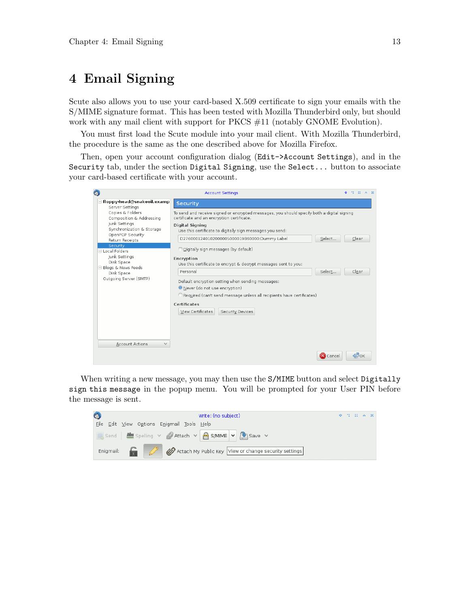## <span id="page-16-0"></span>4 Email Signing

Scute also allows you to use your card-based X.509 certificate to sign your emails with the S/MIME signature format. This has been tested with Mozilla Thunderbird only, but should work with any mail client with support for PKCS  $#11$  (notably GNOME Evolution).

You must first load the Scute module into your mail client. With Mozilla Thunderbird, the procedure is the same as the one described above for Mozilla Firefox.

Then, open your account configuration dialog (Edit->Account Settings), and in the Security tab, under the section Digital Signing, use the Select... button to associate your card-based certificate with your account.

| G                                                 | <b>Account Settings</b>                                                                                                                   | 2010/06/08<br>۰ |  |  |  |  |
|---------------------------------------------------|-------------------------------------------------------------------------------------------------------------------------------------------|-----------------|--|--|--|--|
| □ floppy-head@snakeoil.examp<br>Server Settings   | Security                                                                                                                                  |                 |  |  |  |  |
| Copies & Folders<br>Composition & Addressing      | To send and receive signed or encrypted messages, you should specify both a digital signing<br>certificate and an encryption certificate. |                 |  |  |  |  |
| Junk Settings<br>Synchronization & Storage        | Digital Signing<br>Use this certificate to digitally sign messages you send:                                                              |                 |  |  |  |  |
| OpenPGP Security<br>Return Receipts               | D2760001240102000005000019B60000:Dummy Label<br>Select                                                                                    | Clear           |  |  |  |  |
| Security<br>$\Box$ Local Folders                  | Digitally sign messages (by default)                                                                                                      |                 |  |  |  |  |
| Junk Settings<br>Disk Space<br>Blogs & News Feeds | Encryption<br>Use this certificate to encrypt & decrypt messages sent to you:                                                             |                 |  |  |  |  |
| Disk Space                                        | Personal<br>Select                                                                                                                        | Clear           |  |  |  |  |
| Outgoing Server (SMTP)                            | Default encryption setting when sending messages:<br>Never (do not use encryption)                                                        |                 |  |  |  |  |
|                                                   | O Required (can't send message unless all recipients have certificates)                                                                   |                 |  |  |  |  |
|                                                   | Certificates                                                                                                                              |                 |  |  |  |  |
|                                                   | Security Devices<br>View Certificates                                                                                                     |                 |  |  |  |  |
|                                                   |                                                                                                                                           |                 |  |  |  |  |
|                                                   |                                                                                                                                           |                 |  |  |  |  |
| <b>Account Actions</b><br>$\checkmark$            |                                                                                                                                           |                 |  |  |  |  |
|                                                   | X Cancel                                                                                                                                  | $\triangleq$ OK |  |  |  |  |

When writing a new message, you may then use the S/MIME button and select Digitally sign this message in the popup menu. You will be prompted for your User PIN before the message is sent.

| Ô<br>Write: (no subject)                                           |  | <b>A 70 00 A 80</b> |  |
|--------------------------------------------------------------------|--|---------------------|--|
| File Edit View Options Enigmail Tools Help                         |  |                     |  |
| Send   Spelling v   Attach v   BS/MIME v   PSave v                 |  |                     |  |
| Enigmail: CO Attach My Public Key View or change security settings |  |                     |  |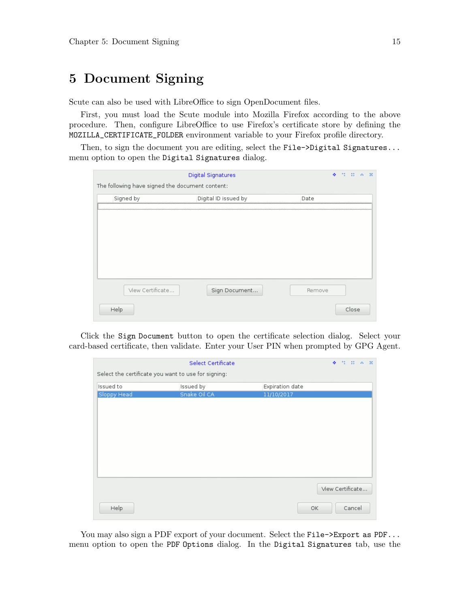## <span id="page-18-0"></span>5 Document Signing

Scute can also be used with LibreOffice to sign OpenDocument files.

First, you must load the Scute module into Mozilla Firefox according to the above procedure. Then, configure LibreOffice to use Firefox's certificate store by defining the MOZILLA\_CERTIFICATE\_FOLDER environment variable to your Firefox profile directory.

Then, to sign the document you are editing, select the File->Digital Signatures... menu option to open the Digital Signatures dialog.

|                                                 | <b>Digital Signatures</b> | 71 H W<br>$-20$ |  |  |  |  |  |  |
|-------------------------------------------------|---------------------------|-----------------|--|--|--|--|--|--|
| The following have signed the document content: |                           |                 |  |  |  |  |  |  |
| Signed by                                       | Digital ID issued by      | Date            |  |  |  |  |  |  |
|                                                 |                           |                 |  |  |  |  |  |  |
|                                                 |                           |                 |  |  |  |  |  |  |
|                                                 |                           |                 |  |  |  |  |  |  |
|                                                 |                           |                 |  |  |  |  |  |  |
|                                                 |                           |                 |  |  |  |  |  |  |
|                                                 |                           |                 |  |  |  |  |  |  |
| View Certificate                                | Sign Document             | Remove          |  |  |  |  |  |  |
| Help                                            |                           | Close           |  |  |  |  |  |  |

Click the Sign Document button to open the certificate selection dialog. Select your card-based certificate, then validate. Enter your User PIN when prompted by GPG Agent.

|             | Select Certificate                                  |                 | <b>A</b> THE R R |
|-------------|-----------------------------------------------------|-----------------|------------------|
|             | Select the certificate you want to use for signing: |                 |                  |
| Issued to   | Issued by                                           | Expiration date |                  |
| Sloppy Head | Snake Oil CA                                        | 11/10/2017      |                  |
|             |                                                     |                 |                  |
|             |                                                     |                 |                  |
|             |                                                     |                 |                  |
|             |                                                     |                 |                  |
|             |                                                     |                 |                  |
|             |                                                     |                 |                  |
|             |                                                     |                 |                  |
|             |                                                     |                 |                  |
|             |                                                     |                 |                  |
|             |                                                     |                 | View Certificate |
|             |                                                     |                 |                  |
| Help        |                                                     | OK              | Cancel           |

You may also sign a PDF export of your document. Select the File->Export as PDF... menu option to open the PDF Options dialog. In the Digital Signatures tab, use the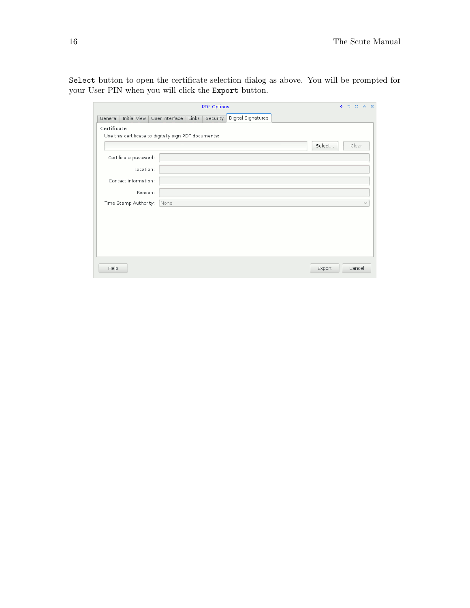Select button to open the certificate selection dialog as above. You will be prompted for your User PIN when you will click the Export button.

|                                                                      |                       |                                     |  | <b>PDF Options</b> |                    |  | <b>A 70 B A R</b> |  |
|----------------------------------------------------------------------|-----------------------|-------------------------------------|--|--------------------|--------------------|--|-------------------|--|
| General                                                              |                       | Initial View User Interface   Links |  | Security           | Digital Signatures |  |                   |  |
| Certificate<br>Use this certificate to digitally sign PDF documents: |                       |                                     |  |                    |                    |  |                   |  |
|                                                                      |                       |                                     |  |                    |                    |  | Select<br>Clear   |  |
|                                                                      | Certificate password: |                                     |  |                    |                    |  |                   |  |
|                                                                      | Location:             |                                     |  |                    |                    |  |                   |  |
|                                                                      | Contact information:  |                                     |  |                    |                    |  |                   |  |
|                                                                      | Reason:               |                                     |  |                    |                    |  |                   |  |
|                                                                      | Time Stamp Authority: | None                                |  |                    |                    |  | $\mathcal{A}$     |  |
|                                                                      |                       |                                     |  |                    |                    |  |                   |  |
|                                                                      |                       |                                     |  |                    |                    |  |                   |  |
|                                                                      |                       |                                     |  |                    |                    |  |                   |  |
|                                                                      |                       |                                     |  |                    |                    |  |                   |  |
| Help                                                                 |                       |                                     |  |                    |                    |  | Cancel<br>Export  |  |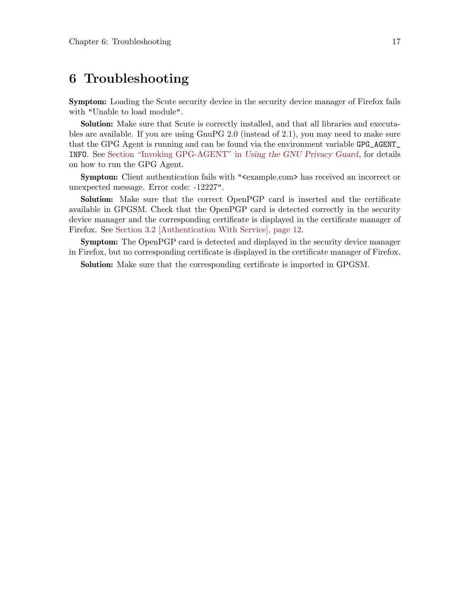## <span id="page-20-0"></span>6 Troubleshooting

Symptom: Loading the Scute security device in the security device manager of Firefox fails with "Unable to load module".

Solution: Make sure that Scute is correctly installed, and that all libraries and executables are available. If you are using GnuPG 2.0 (instead of 2.1), you may need to make sure that the GPG Agent is running and can be found via the environment variable GPG\_AGENT\_ INFO. See Section "Invoking GPG-AGENT" in Using the GNU Privacy Guard, for details on how to run the GPG Agent.

Symptom: Client authentication fails with "<example.com> has received an incorrect or unexpected message. Error code: -12227".

Solution: Make sure that the correct OpenPGP card is inserted and the certificate available in GPGSM. Check that the OpenPGP card is detected correctly in the security device manager and the corresponding certificate is displayed in the certificate manager of Firefox. See [Section 3.2 \[Authentication With Service\], page 12.](#page-15-1)

Symptom: The OpenPGP card is detected and displayed in the security device manager in Firefox, but no corresponding certificate is displayed in the certificate manager of Firefox.

Solution: Make sure that the corresponding certificate is imported in GPGSM.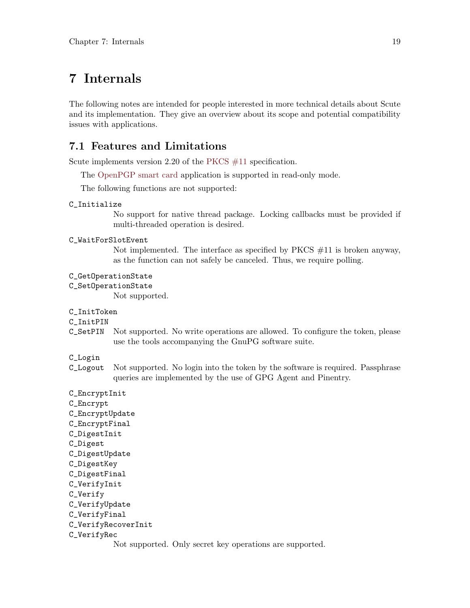## <span id="page-22-0"></span>7 Internals

The following notes are intended for people interested in more technical details about Scute and its implementation. They give an overview about its scope and potential compatibility issues with applications.

## 7.1 Features and Limitations

Scute implements version 2.20 of the [PKCS #11](https://www.emc.com/emc-plus/rsa-labs/standards-initiatives/pkcs-11-cryptographic-token-interface-standard.htm) specification.

The [OpenPGP smart card](http://www.g10code.com/p-card.html) application is supported in read-only mode.

The following functions are not supported:

#### C\_Initialize

No support for native thread package. Locking callbacks must be provided if multi-threaded operation is desired.

#### C\_WaitForSlotEvent

Not implemented. The interface as specified by  $PKCS \#11$  is broken anyway, as the function can not safely be canceled. Thus, we require polling.

#### C\_GetOperationState

#### C\_SetOperationState

Not supported.

#### C\_InitToken

#### C\_InitPIN

C\_SetPIN Not supported. No write operations are allowed. To configure the token, please use the tools accompanying the GnuPG software suite.

#### C\_Login

C\_Logout Not supported. No login into the token by the software is required. Passphrase queries are implemented by the use of GPG Agent and Pinentry.

#### C\_EncryptInit

| C_Encrypt           |                                                                                                                                                                                                                                                                                                    |
|---------------------|----------------------------------------------------------------------------------------------------------------------------------------------------------------------------------------------------------------------------------------------------------------------------------------------------|
| C_EncryptUpdate     |                                                                                                                                                                                                                                                                                                    |
| C_EncryptFinal      |                                                                                                                                                                                                                                                                                                    |
| C_DigestInit        |                                                                                                                                                                                                                                                                                                    |
| C_Digest            |                                                                                                                                                                                                                                                                                                    |
| C_DigestUpdate      |                                                                                                                                                                                                                                                                                                    |
| C_DigestKey         |                                                                                                                                                                                                                                                                                                    |
| C_DigestFinal       |                                                                                                                                                                                                                                                                                                    |
| C_VerifyInit        |                                                                                                                                                                                                                                                                                                    |
| C_Verify            |                                                                                                                                                                                                                                                                                                    |
| C_VerifyUpdate      |                                                                                                                                                                                                                                                                                                    |
| C_VerifyFinal       |                                                                                                                                                                                                                                                                                                    |
| C_VerifyRecoverInit |                                                                                                                                                                                                                                                                                                    |
| C_VerifyRec         |                                                                                                                                                                                                                                                                                                    |
|                     | $\mathbf{M}$ a $\mathbf{M}$ and $\mathbf{M}$ and $\mathbf{M}$ and $\mathbf{M}$ are $\mathbf{M}$ and $\mathbf{M}$ and $\mathbf{M}$ are $\mathbf{M}$ and $\mathbf{M}$ and $\mathbf{M}$ are $\mathbf{M}$ and $\mathbf{M}$ are $\mathbf{M}$ and $\mathbf{M}$ are $\mathbf{M}$ and $\mathbf{M}$ are $\$ |

Not supported. Only secret key operations are supported.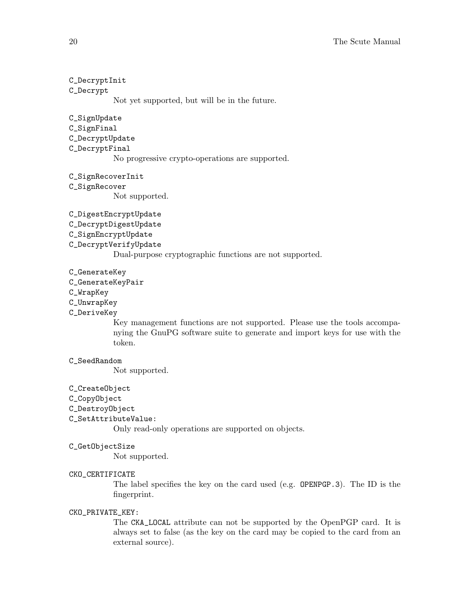```
C_DecryptInit
C_Decrypt
           Not yet supported, but will be in the future.
```
C\_SignUpdate

C\_SignFinal

## C\_DecryptUpdate

## C\_DecryptFinal

No progressive crypto-operations are supported.

C\_SignRecoverInit

C\_SignRecover

Not supported.

### C\_DigestEncryptUpdate

C\_DecryptDigestUpdate

C\_SignEncryptUpdate

## C\_DecryptVerifyUpdate

Dual-purpose cryptographic functions are not supported.

#### C\_GenerateKey

C\_GenerateKeyPair

#### C\_WrapKey

#### C\_UnwrapKey

### C\_DeriveKey

Key management functions are not supported. Please use the tools accompanying the GnuPG software suite to generate and import keys for use with the token.

#### C\_SeedRandom

Not supported.

#### C\_CreateObject

- C\_CopyObject
- C\_DestroyObject

#### C\_SetAttributeValue:

Only read-only operations are supported on objects.

#### C\_GetObjectSize

Not supported.

#### CKO\_CERTIFICATE

The label specifies the key on the card used (e.g. OPENPGP.3). The ID is the fingerprint.

#### CKO\_PRIVATE\_KEY:

The CKA\_LOCAL attribute can not be supported by the OpenPGP card. It is always set to false (as the key on the card may be copied to the card from an external source).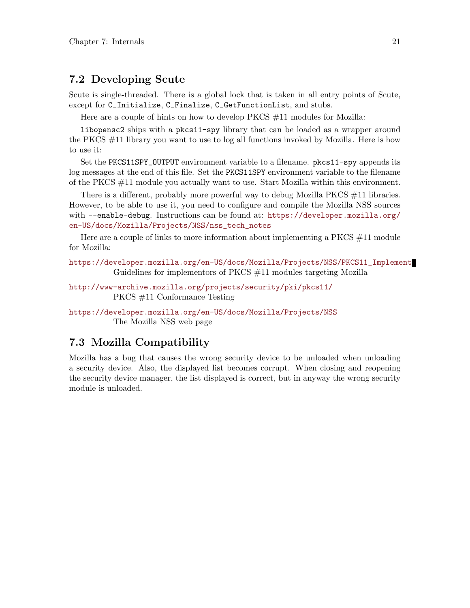## <span id="page-24-0"></span>7.2 Developing Scute

Scute is single-threaded. There is a global lock that is taken in all entry points of Scute, except for C\_Initialize, C\_Finalize, C\_GetFunctionList, and stubs.

Here are a couple of hints on how to develop PKCS #11 modules for Mozilla:

libopensc2 ships with a pkcs11-spy library that can be loaded as a wrapper around the PKCS #11 library you want to use to log all functions invoked by Mozilla. Here is how to use it:

Set the PKCS11SPY\_OUTPUT environment variable to a filename. pkcs11-spy appends its log messages at the end of this file. Set the PKCS11SPY environment variable to the filename of the PKCS #11 module you actually want to use. Start Mozilla within this environment.

There is a different, probably more powerful way to debug Mozilla PKCS #11 libraries. However, to be able to use it, you need to configure and compile the Mozilla NSS sources with --enable-debug. Instructions can be found at: [https://developer.mozilla.org/](https://developer.mozilla.org/en-US/docs/Mozilla/Projects/NSS/nss_tech_notes) [en-US/docs/Mozilla/Projects/NSS/nss\\_tech\\_notes](https://developer.mozilla.org/en-US/docs/Mozilla/Projects/NSS/nss_tech_notes)

Here are a couple of links to more information about implementing a  $PKCS#11$  module for Mozilla:

```
https://developer.mozilla.org/en-US/docs/Mozilla/Projects/NSS/PKCS11_Implement
          Guidelines for implementors of PKCS #11 modules targeting Mozilla
```

```
http://www-archive.mozilla.org/projects/security/pki/pkcs11/
          PKCS #11 Conformance Testing
```
<https://developer.mozilla.org/en-US/docs/Mozilla/Projects/NSS> The Mozilla NSS web page

## 7.3 Mozilla Compatibility

Mozilla has a bug that causes the wrong security device to be unloaded when unloading a security device. Also, the displayed list becomes corrupt. When closing and reopening the security device manager, the list displayed is correct, but in anyway the wrong security module is unloaded.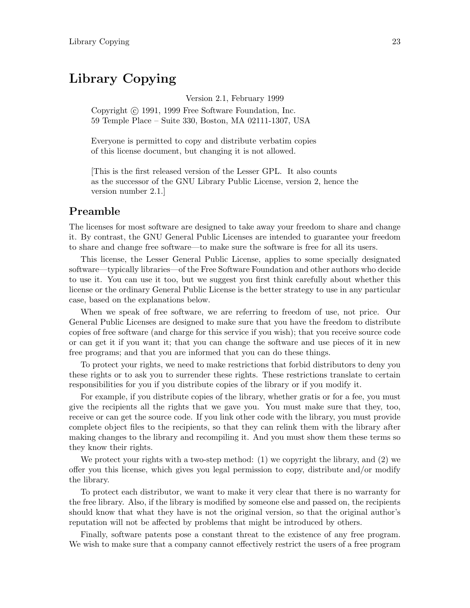## <span id="page-26-0"></span>Library Copying

Version 2.1, February 1999

Copyright (c) 1991, 1999 Free Software Foundation, Inc. 59 Temple Place – Suite 330, Boston, MA 02111-1307, USA

Everyone is permitted to copy and distribute verbatim copies of this license document, but changing it is not allowed.

[This is the first released version of the Lesser GPL. It also counts as the successor of the GNU Library Public License, version 2, hence the version number 2.1.]

## Preamble

The licenses for most software are designed to take away your freedom to share and change it. By contrast, the GNU General Public Licenses are intended to guarantee your freedom to share and change free software—to make sure the software is free for all its users.

This license, the Lesser General Public License, applies to some specially designated software—typically libraries—of the Free Software Foundation and other authors who decide to use it. You can use it too, but we suggest you first think carefully about whether this license or the ordinary General Public License is the better strategy to use in any particular case, based on the explanations below.

When we speak of free software, we are referring to freedom of use, not price. Our General Public Licenses are designed to make sure that you have the freedom to distribute copies of free software (and charge for this service if you wish); that you receive source code or can get it if you want it; that you can change the software and use pieces of it in new free programs; and that you are informed that you can do these things.

To protect your rights, we need to make restrictions that forbid distributors to deny you these rights or to ask you to surrender these rights. These restrictions translate to certain responsibilities for you if you distribute copies of the library or if you modify it.

For example, if you distribute copies of the library, whether gratis or for a fee, you must give the recipients all the rights that we gave you. You must make sure that they, too, receive or can get the source code. If you link other code with the library, you must provide complete object files to the recipients, so that they can relink them with the library after making changes to the library and recompiling it. And you must show them these terms so they know their rights.

We protect your rights with a two-step method: (1) we copyright the library, and (2) we offer you this license, which gives you legal permission to copy, distribute and/or modify the library.

To protect each distributor, we want to make it very clear that there is no warranty for the free library. Also, if the library is modified by someone else and passed on, the recipients should know that what they have is not the original version, so that the original author's reputation will not be affected by problems that might be introduced by others.

Finally, software patents pose a constant threat to the existence of any free program. We wish to make sure that a company cannot effectively restrict the users of a free program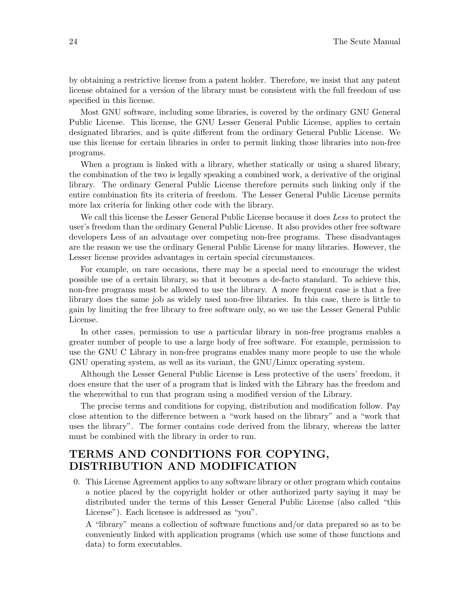by obtaining a restrictive license from a patent holder. Therefore, we insist that any patent license obtained for a version of the library must be consistent with the full freedom of use specified in this license.

Most GNU software, including some libraries, is covered by the ordinary GNU General Public License. This license, the GNU Lesser General Public License, applies to certain designated libraries, and is quite different from the ordinary General Public License. We use this license for certain libraries in order to permit linking those libraries into non-free programs.

When a program is linked with a library, whether statically or using a shared library, the combination of the two is legally speaking a combined work, a derivative of the original library. The ordinary General Public License therefore permits such linking only if the entire combination fits its criteria of freedom. The Lesser General Public License permits more lax criteria for linking other code with the library.

We call this license the Lesser General Public License because it does Less to protect the user's freedom than the ordinary General Public License. It also provides other free software developers Less of an advantage over competing non-free programs. These disadvantages are the reason we use the ordinary General Public License for many libraries. However, the Lesser license provides advantages in certain special circumstances.

For example, on rare occasions, there may be a special need to encourage the widest possible use of a certain library, so that it becomes a de-facto standard. To achieve this, non-free programs must be allowed to use the library. A more frequent case is that a free library does the same job as widely used non-free libraries. In this case, there is little to gain by limiting the free library to free software only, so we use the Lesser General Public License.

In other cases, permission to use a particular library in non-free programs enables a greater number of people to use a large body of free software. For example, permission to use the GNU C Library in non-free programs enables many more people to use the whole GNU operating system, as well as its variant, the GNU/Linux operating system.

Although the Lesser General Public License is Less protective of the users' freedom, it does ensure that the user of a program that is linked with the Library has the freedom and the wherewithal to run that program using a modified version of the Library.

The precise terms and conditions for copying, distribution and modification follow. Pay close attention to the difference between a "work based on the library" and a "work that uses the library". The former contains code derived from the library, whereas the latter must be combined with the library in order to run.

## TERMS AND CONDITIONS FOR COPYING, DISTRIBUTION AND MODIFICATION

0. This License Agreement applies to any software library or other program which contains a notice placed by the copyright holder or other authorized party saying it may be distributed under the terms of this Lesser General Public License (also called "this License"). Each licensee is addressed as "you".

A "library" means a collection of software functions and/or data prepared so as to be conveniently linked with application programs (which use some of those functions and data) to form executables.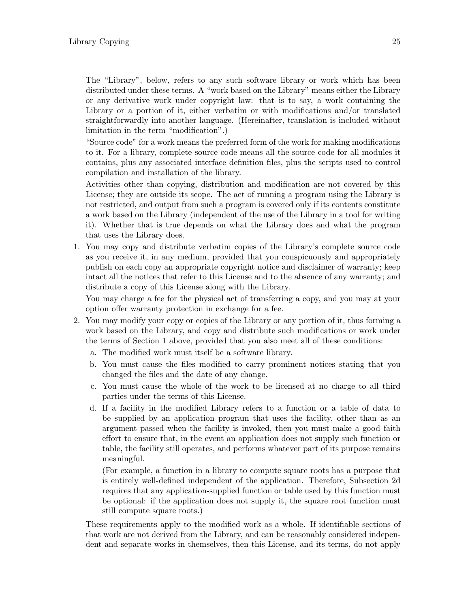The "Library", below, refers to any such software library or work which has been distributed under these terms. A "work based on the Library" means either the Library or any derivative work under copyright law: that is to say, a work containing the Library or a portion of it, either verbatim or with modifications and/or translated straightforwardly into another language. (Hereinafter, translation is included without limitation in the term "modification".)

"Source code" for a work means the preferred form of the work for making modifications to it. For a library, complete source code means all the source code for all modules it contains, plus any associated interface definition files, plus the scripts used to control compilation and installation of the library.

Activities other than copying, distribution and modification are not covered by this License; they are outside its scope. The act of running a program using the Library is not restricted, and output from such a program is covered only if its contents constitute a work based on the Library (independent of the use of the Library in a tool for writing it). Whether that is true depends on what the Library does and what the program that uses the Library does.

1. You may copy and distribute verbatim copies of the Library's complete source code as you receive it, in any medium, provided that you conspicuously and appropriately publish on each copy an appropriate copyright notice and disclaimer of warranty; keep intact all the notices that refer to this License and to the absence of any warranty; and distribute a copy of this License along with the Library.

You may charge a fee for the physical act of transferring a copy, and you may at your option offer warranty protection in exchange for a fee.

- 2. You may modify your copy or copies of the Library or any portion of it, thus forming a work based on the Library, and copy and distribute such modifications or work under the terms of Section 1 above, provided that you also meet all of these conditions:
	- a. The modified work must itself be a software library.
	- b. You must cause the files modified to carry prominent notices stating that you changed the files and the date of any change.
	- c. You must cause the whole of the work to be licensed at no charge to all third parties under the terms of this License.
	- d. If a facility in the modified Library refers to a function or a table of data to be supplied by an application program that uses the facility, other than as an argument passed when the facility is invoked, then you must make a good faith effort to ensure that, in the event an application does not supply such function or table, the facility still operates, and performs whatever part of its purpose remains meaningful.

(For example, a function in a library to compute square roots has a purpose that is entirely well-defined independent of the application. Therefore, Subsection 2d requires that any application-supplied function or table used by this function must be optional: if the application does not supply it, the square root function must still compute square roots.)

These requirements apply to the modified work as a whole. If identifiable sections of that work are not derived from the Library, and can be reasonably considered independent and separate works in themselves, then this License, and its terms, do not apply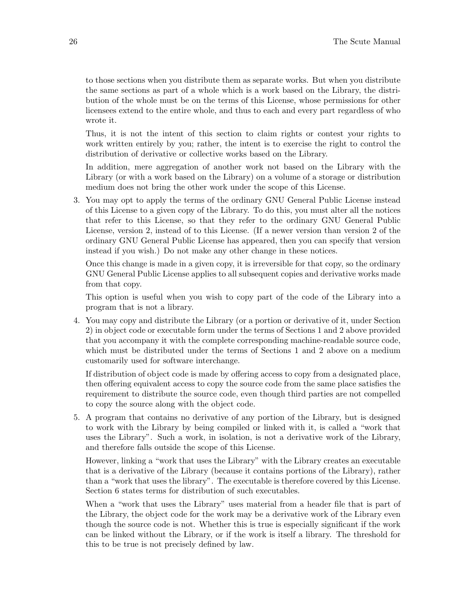to those sections when you distribute them as separate works. But when you distribute the same sections as part of a whole which is a work based on the Library, the distribution of the whole must be on the terms of this License, whose permissions for other licensees extend to the entire whole, and thus to each and every part regardless of who wrote it.

Thus, it is not the intent of this section to claim rights or contest your rights to work written entirely by you; rather, the intent is to exercise the right to control the distribution of derivative or collective works based on the Library.

In addition, mere aggregation of another work not based on the Library with the Library (or with a work based on the Library) on a volume of a storage or distribution medium does not bring the other work under the scope of this License.

3. You may opt to apply the terms of the ordinary GNU General Public License instead of this License to a given copy of the Library. To do this, you must alter all the notices that refer to this License, so that they refer to the ordinary GNU General Public License, version 2, instead of to this License. (If a newer version than version 2 of the ordinary GNU General Public License has appeared, then you can specify that version instead if you wish.) Do not make any other change in these notices.

Once this change is made in a given copy, it is irreversible for that copy, so the ordinary GNU General Public License applies to all subsequent copies and derivative works made from that copy.

This option is useful when you wish to copy part of the code of the Library into a program that is not a library.

4. You may copy and distribute the Library (or a portion or derivative of it, under Section 2) in object code or executable form under the terms of Sections 1 and 2 above provided that you accompany it with the complete corresponding machine-readable source code, which must be distributed under the terms of Sections 1 and 2 above on a medium customarily used for software interchange.

If distribution of object code is made by offering access to copy from a designated place, then offering equivalent access to copy the source code from the same place satisfies the requirement to distribute the source code, even though third parties are not compelled to copy the source along with the object code.

5. A program that contains no derivative of any portion of the Library, but is designed to work with the Library by being compiled or linked with it, is called a "work that uses the Library". Such a work, in isolation, is not a derivative work of the Library, and therefore falls outside the scope of this License.

However, linking a "work that uses the Library" with the Library creates an executable that is a derivative of the Library (because it contains portions of the Library), rather than a "work that uses the library". The executable is therefore covered by this License. Section 6 states terms for distribution of such executables.

When a "work that uses the Library" uses material from a header file that is part of the Library, the object code for the work may be a derivative work of the Library even though the source code is not. Whether this is true is especially significant if the work can be linked without the Library, or if the work is itself a library. The threshold for this to be true is not precisely defined by law.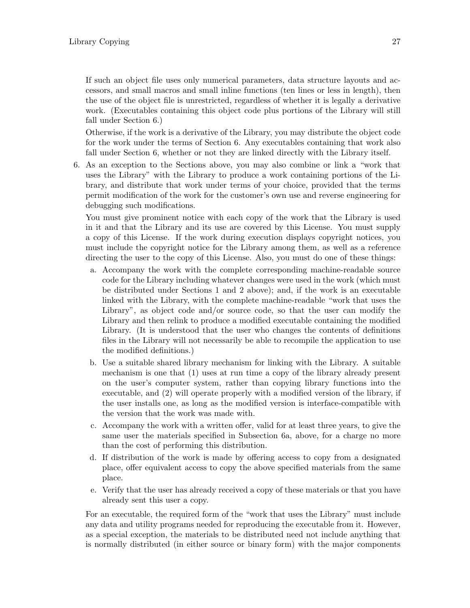If such an object file uses only numerical parameters, data structure layouts and accessors, and small macros and small inline functions (ten lines or less in length), then the use of the object file is unrestricted, regardless of whether it is legally a derivative work. (Executables containing this object code plus portions of the Library will still fall under Section 6.)

Otherwise, if the work is a derivative of the Library, you may distribute the object code for the work under the terms of Section 6. Any executables containing that work also fall under Section 6, whether or not they are linked directly with the Library itself.

6. As an exception to the Sections above, you may also combine or link a "work that uses the Library" with the Library to produce a work containing portions of the Library, and distribute that work under terms of your choice, provided that the terms permit modification of the work for the customer's own use and reverse engineering for debugging such modifications.

You must give prominent notice with each copy of the work that the Library is used in it and that the Library and its use are covered by this License. You must supply a copy of this License. If the work during execution displays copyright notices, you must include the copyright notice for the Library among them, as well as a reference directing the user to the copy of this License. Also, you must do one of these things:

- a. Accompany the work with the complete corresponding machine-readable source code for the Library including whatever changes were used in the work (which must be distributed under Sections 1 and 2 above); and, if the work is an executable linked with the Library, with the complete machine-readable "work that uses the Library", as object code and/or source code, so that the user can modify the Library and then relink to produce a modified executable containing the modified Library. (It is understood that the user who changes the contents of definitions files in the Library will not necessarily be able to recompile the application to use the modified definitions.)
- b. Use a suitable shared library mechanism for linking with the Library. A suitable mechanism is one that (1) uses at run time a copy of the library already present on the user's computer system, rather than copying library functions into the executable, and (2) will operate properly with a modified version of the library, if the user installs one, as long as the modified version is interface-compatible with the version that the work was made with.
- c. Accompany the work with a written offer, valid for at least three years, to give the same user the materials specified in Subsection 6a, above, for a charge no more than the cost of performing this distribution.
- d. If distribution of the work is made by offering access to copy from a designated place, offer equivalent access to copy the above specified materials from the same place.
- e. Verify that the user has already received a copy of these materials or that you have already sent this user a copy.

For an executable, the required form of the "work that uses the Library" must include any data and utility programs needed for reproducing the executable from it. However, as a special exception, the materials to be distributed need not include anything that is normally distributed (in either source or binary form) with the major components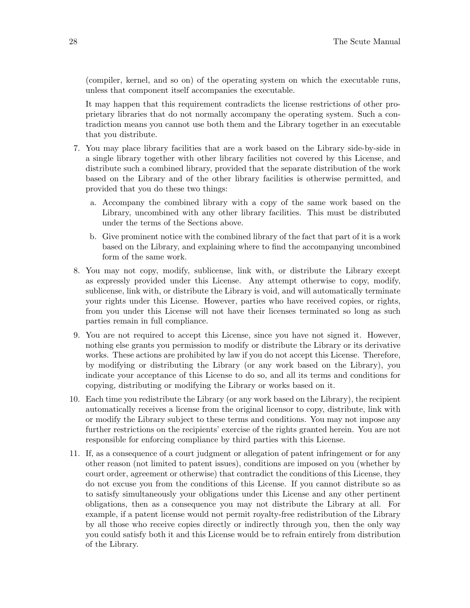(compiler, kernel, and so on) of the operating system on which the executable runs, unless that component itself accompanies the executable.

It may happen that this requirement contradicts the license restrictions of other proprietary libraries that do not normally accompany the operating system. Such a contradiction means you cannot use both them and the Library together in an executable that you distribute.

- 7. You may place library facilities that are a work based on the Library side-by-side in a single library together with other library facilities not covered by this License, and distribute such a combined library, provided that the separate distribution of the work based on the Library and of the other library facilities is otherwise permitted, and provided that you do these two things:
	- a. Accompany the combined library with a copy of the same work based on the Library, uncombined with any other library facilities. This must be distributed under the terms of the Sections above.
	- b. Give prominent notice with the combined library of the fact that part of it is a work based on the Library, and explaining where to find the accompanying uncombined form of the same work.
- 8. You may not copy, modify, sublicense, link with, or distribute the Library except as expressly provided under this License. Any attempt otherwise to copy, modify, sublicense, link with, or distribute the Library is void, and will automatically terminate your rights under this License. However, parties who have received copies, or rights, from you under this License will not have their licenses terminated so long as such parties remain in full compliance.
- 9. You are not required to accept this License, since you have not signed it. However, nothing else grants you permission to modify or distribute the Library or its derivative works. These actions are prohibited by law if you do not accept this License. Therefore, by modifying or distributing the Library (or any work based on the Library), you indicate your acceptance of this License to do so, and all its terms and conditions for copying, distributing or modifying the Library or works based on it.
- 10. Each time you redistribute the Library (or any work based on the Library), the recipient automatically receives a license from the original licensor to copy, distribute, link with or modify the Library subject to these terms and conditions. You may not impose any further restrictions on the recipients' exercise of the rights granted herein. You are not responsible for enforcing compliance by third parties with this License.
- 11. If, as a consequence of a court judgment or allegation of patent infringement or for any other reason (not limited to patent issues), conditions are imposed on you (whether by court order, agreement or otherwise) that contradict the conditions of this License, they do not excuse you from the conditions of this License. If you cannot distribute so as to satisfy simultaneously your obligations under this License and any other pertinent obligations, then as a consequence you may not distribute the Library at all. For example, if a patent license would not permit royalty-free redistribution of the Library by all those who receive copies directly or indirectly through you, then the only way you could satisfy both it and this License would be to refrain entirely from distribution of the Library.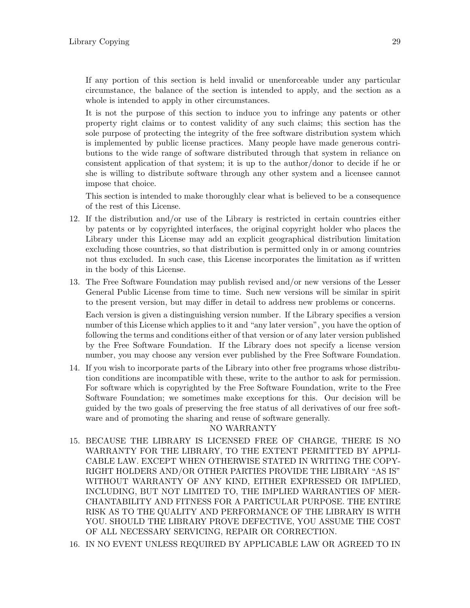If any portion of this section is held invalid or unenforceable under any particular circumstance, the balance of the section is intended to apply, and the section as a whole is intended to apply in other circumstances.

It is not the purpose of this section to induce you to infringe any patents or other property right claims or to contest validity of any such claims; this section has the sole purpose of protecting the integrity of the free software distribution system which is implemented by public license practices. Many people have made generous contributions to the wide range of software distributed through that system in reliance on consistent application of that system; it is up to the author/donor to decide if he or she is willing to distribute software through any other system and a licensee cannot impose that choice.

This section is intended to make thoroughly clear what is believed to be a consequence of the rest of this License.

- 12. If the distribution and/or use of the Library is restricted in certain countries either by patents or by copyrighted interfaces, the original copyright holder who places the Library under this License may add an explicit geographical distribution limitation excluding those countries, so that distribution is permitted only in or among countries not thus excluded. In such case, this License incorporates the limitation as if written in the body of this License.
- 13. The Free Software Foundation may publish revised and/or new versions of the Lesser General Public License from time to time. Such new versions will be similar in spirit to the present version, but may differ in detail to address new problems or concerns. Each version is given a distinguishing version number. If the Library specifies a version number of this License which applies to it and "any later version", you have the option of following the terms and conditions either of that version or of any later version published by the Free Software Foundation. If the Library does not specify a license version number, you may choose any version ever published by the Free Software Foundation.
- 14. If you wish to incorporate parts of the Library into other free programs whose distribution conditions are incompatible with these, write to the author to ask for permission. For software which is copyrighted by the Free Software Foundation, write to the Free Software Foundation; we sometimes make exceptions for this. Our decision will be guided by the two goals of preserving the free status of all derivatives of our free software and of promoting the sharing and reuse of software generally.

#### NO WARRANTY

- 15. BECAUSE THE LIBRARY IS LICENSED FREE OF CHARGE, THERE IS NO WARRANTY FOR THE LIBRARY, TO THE EXTENT PERMITTED BY APPLI-CABLE LAW. EXCEPT WHEN OTHERWISE STATED IN WRITING THE COPY-RIGHT HOLDERS AND/OR OTHER PARTIES PROVIDE THE LIBRARY "AS IS" WITHOUT WARRANTY OF ANY KIND, EITHER EXPRESSED OR IMPLIED, INCLUDING, BUT NOT LIMITED TO, THE IMPLIED WARRANTIES OF MER-CHANTABILITY AND FITNESS FOR A PARTICULAR PURPOSE. THE ENTIRE RISK AS TO THE QUALITY AND PERFORMANCE OF THE LIBRARY IS WITH YOU. SHOULD THE LIBRARY PROVE DEFECTIVE, YOU ASSUME THE COST OF ALL NECESSARY SERVICING, REPAIR OR CORRECTION.
- 16. IN NO EVENT UNLESS REQUIRED BY APPLICABLE LAW OR AGREED TO IN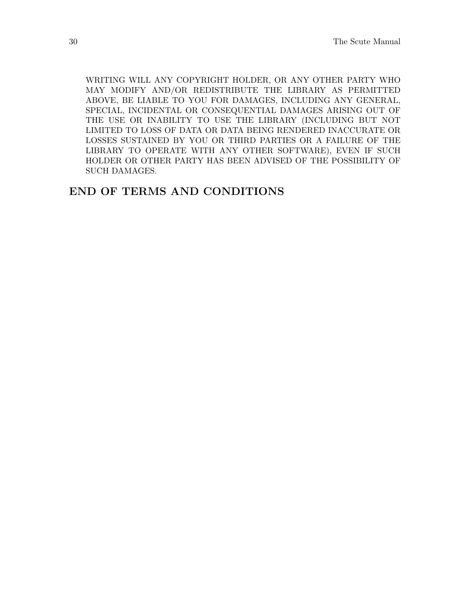WRITING WILL ANY COPYRIGHT HOLDER, OR ANY OTHER PARTY WHO MAY MODIFY AND/OR REDISTRIBUTE THE LIBRARY AS PERMITTED ABOVE, BE LIABLE TO YOU FOR DAMAGES, INCLUDING ANY GENERAL, SPECIAL, INCIDENTAL OR CONSEQUENTIAL DAMAGES ARISING OUT OF THE USE OR INABILITY TO USE THE LIBRARY (INCLUDING BUT NOT LIMITED TO LOSS OF DATA OR DATA BEING RENDERED INACCURATE OR LOSSES SUSTAINED BY YOU OR THIRD PARTIES OR A FAILURE OF THE LIBRARY TO OPERATE WITH ANY OTHER SOFTWARE), EVEN IF SUCH HOLDER OR OTHER PARTY HAS BEEN ADVISED OF THE POSSIBILITY OF SUCH DAMAGES.

## END OF TERMS AND CONDITIONS